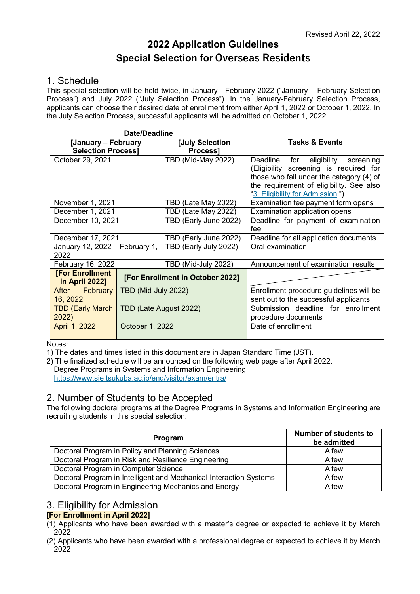# **2022 Application Guidelines Special Selection for Overseas Residents**

# 1. Schedule

This special selection will be held twice, in January - February 2022 ("January – February Selection Process") and July 2022 ("July Selection Process"). In the January-February Selection Process, applicants can choose their desired date of enrollment from either April 1, 2022 or October 1, 2022. In the July Selection Process, successful applicants will be admitted on October 1, 2022.

|                                          | Date/Deadline                    |                           |                                          |  |
|------------------------------------------|----------------------------------|---------------------------|------------------------------------------|--|
| [January - February                      |                                  | [July Selection           | <b>Tasks &amp; Events</b>                |  |
| <b>Selection Process]</b>                |                                  | <b>Process1</b>           |                                          |  |
| October 29, 2021                         |                                  | <b>TBD (Mid-May 2022)</b> | eligibility screening<br>Deadline<br>for |  |
|                                          |                                  |                           | (Eligibility screening is required for   |  |
|                                          |                                  |                           | those who fall under the category (4) of |  |
|                                          |                                  |                           | the requirement of eligibility. See also |  |
|                                          |                                  |                           | "3. Eligibility for Admission.")         |  |
| November 1, 2021                         |                                  | TBD (Late May 2022)       | Examination fee payment form opens       |  |
| December 1, 2021                         |                                  | TBD (Late May 2022)       | Examination application opens            |  |
| December 10, 2021                        |                                  | TBD (Early June 2022)     | Deadline for payment of examination      |  |
|                                          |                                  |                           | fee                                      |  |
| December 17, 2021                        |                                  | TBD (Early June 2022)     | Deadline for all application documents   |  |
| January 12, 2022 - February 1,           |                                  | TBD (Early July 2022)     | Oral examination                         |  |
| 2022                                     |                                  |                           |                                          |  |
| February 16, 2022                        |                                  | TBD (Mid-July 2022)       | Announcement of examination results      |  |
| <b>[For Enrollment</b><br>in April 2022] | [For Enrollment in October 2022] |                           |                                          |  |
| After February                           | TBD (Mid-July 2022)              |                           | Enrollment procedure guidelines will be  |  |
| 16, 2022                                 |                                  |                           | sent out to the successful applicants    |  |
| <b>TBD (Early March)</b>                 | TBD (Late August 2022)           |                           | Submission deadline for enrollment       |  |
| 2022)                                    |                                  |                           | procedure documents                      |  |
| April 1, 2022                            | October 1, 2022                  |                           | Date of enrollment                       |  |
|                                          |                                  |                           |                                          |  |

Notes:

1) The dates and times listed in this document are in Japan Standard Time (JST).

2) The finalized schedule will be announced on the following web page after April 2022. Degree Programs in Systems and Information Engineering <https://www.sie.tsukuba.ac.jp/eng/visitor/exam/entra/>

# 2. Number of Students to be Accepted

The following doctoral programs at the Degree Programs in Systems and Information Engineering are recruiting students in this special selection.

| Program                                                            | <b>Number of students to</b><br>be admitted |
|--------------------------------------------------------------------|---------------------------------------------|
| Doctoral Program in Policy and Planning Sciences                   | A few                                       |
| Doctoral Program in Risk and Resilience Engineering                | A few                                       |
| Doctoral Program in Computer Science                               | A few                                       |
| Doctoral Program in Intelligent and Mechanical Interaction Systems | A few                                       |
| Doctoral Program in Engineering Mechanics and Energy               | A few                                       |

# <span id="page-0-0"></span>3. Eligibility for Admission

### **[For Enrollment in April 2022]**

- (1) Applicants who have been awarded with a master's degree or expected to achieve it by March 2022
- (2) Applicants who have been awarded with a professional degree or expected to achieve it by March 2022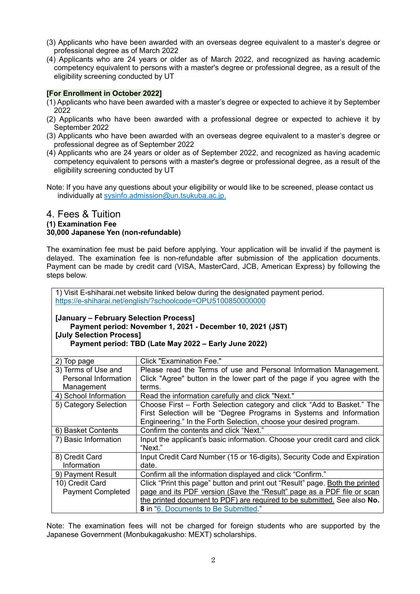- (3) Applicants who have been awarded with an overseas degree equivalent to a master's degree or professional degree as of March 2022
- (4) Applicants who are 24 years or older as of March 2022, and recognized as having academic competency equivalent to persons with a master's degree or professional degree, as a result of the eligibility screening conducted by UT

### **[For Enrollment in October 2022]**

- (1) Applicants who have been awarded with a master's degree or expected to achieve it by September 2022
- (2) Applicants who have been awarded with a professional degree or expected to achieve it by September 2022
- (3) Applicants who have been awarded with an overseas degree equivalent to a master's degree or professional degree as of September 2022
- (4) Applicants who are 24 years or older as of September 2022, and recognized as having academic competency equivalent to persons with a master's degree or professional degree, as a result of the eligibility screening conducted by UT
- Note: If you have any questions about your eligibility or would like to be screened, please contact us individually at sysinfo.admission@un.tsukuba.ac.jp.

#### <span id="page-1-0"></span>4. Fees & Tuition **(1) Examination Fee 30,000 Japanese Yen (non-refundable)**

The examination fee must be paid before applying. Your application will be invalid if the payment is delayed. The examination fee is non-refundable after submission of the application documents. Payment can be made by credit card (VISA, MasterCard, JCB, American Express) by following the steps below.

1) Visit E-shiharai.net website linked below during the designated payment period. <https://e-shiharai.net/english/?schoolcode=OPU5100850000000>

### **[January – February Selection Process]**

```
Payment period: November 1, 2021 - December 10, 2021 (JST)
[July Selection Process]
    Payment period: TBD (Late May 2022 – Early June 2022)
```

| 2) Top page              | Click "Examination Fee."                                                     |
|--------------------------|------------------------------------------------------------------------------|
| 3) Terms of Use and      | Please read the Terms of use and Personal Information Management.            |
| Personal Information     | Click "Agree" button in the lower part of the page if you agree with the     |
| Management               | terms.                                                                       |
| 4) School Information    | Read the information carefully and click "Next."                             |
| 5) Category Selection    | Choose First – Forth Selection category and click "Add to Basket." The       |
|                          | First Selection will be "Degree Programs in Systems and Information          |
|                          | Engineering." In the Forth Selection, choose your desired program.           |
| 6) Basket Contents       | Confirm the contents and click "Next."                                       |
| 7) Basic Information     | Input the applicant's basic information. Choose your credit card and click   |
|                          | "Next."                                                                      |
| 8) Credit Card           | Input Credit Card Number (15 or 16-digits), Security Code and Expiration     |
| Information              | date.                                                                        |
| 9) Payment Result        | Confirm all the information displayed and click "Confirm."                   |
| 10) Credit Card          | Click "Print this page" button and print out "Result" page. Both the printed |
| <b>Payment Completed</b> | page and its PDF version (Save the "Result" page as a PDF file or scan       |
|                          | the printed document to PDF) are required to be submitted. See also No.      |
|                          | 8 in "6. Documents to Be Submitted."                                         |

Note: The examination fees will not be charged for foreign students who are supported by the Japanese Government (Monbukagakusho: MEXT) scholarships.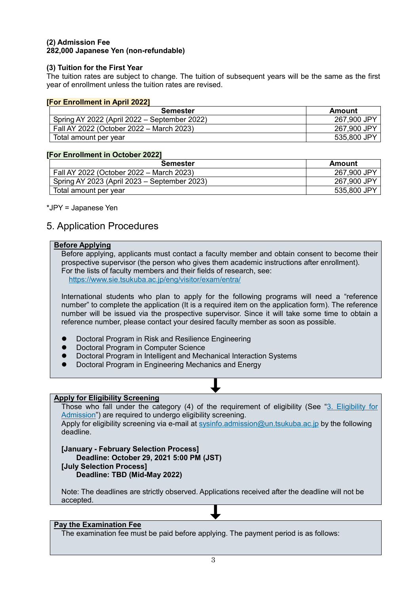#### **(2) Admission Fee 282,000 Japanese Yen (non-refundable)**

### **(3) Tuition for the First Year**

The tuition rates are subject to change. The tuition of subsequent years will be the same as the first year of enrollment unless the tuition rates are revised.

#### **[For Enrollment in April 2022]**

| <b>Semester</b>                              | Amount      |
|----------------------------------------------|-------------|
| Spring AY 2022 (April 2022 – September 2022) | 267,900 JPY |
| Fall AY 2022 (October 2022 – March 2023)     | 267,900 JPY |
| Total amount per year                        | 535,800 JPY |

#### **[For Enrollment in October 2022]**

| <b>Semester</b>                              | Amount      |
|----------------------------------------------|-------------|
| Fall AY 2022 (October 2022 – March 2023)     | 267,900 JPY |
| Spring AY 2023 (April 2023 – September 2023) | 267,900 JPY |
| Total amount per year                        | 535,800 JPY |

#### \*JPY = Japanese Yen

# <span id="page-2-0"></span>5. Application Procedures

### **Before Applying**

Before applying, applicants must contact a faculty member and obtain consent to become their prospective supervisor (the person who gives them academic instructions after enrollment). For the lists of faculty members and their fields of research, see: <https://www.sie.tsukuba.ac.jp/eng/visitor/exam/entra/>

International students who plan to apply for the following programs will need a "reference number" to complete the application (It is a required item on the application form). The reference number will be issued via the prospective supervisor. Since it will take some time to obtain a reference number, please contact your desired faculty member as soon as possible.

- Doctoral Program in Risk and Resilience Engineering
- Doctoral Program in Computer Science
- Doctoral Program in Intelligent and Mechanical Interaction Systems
- Doctoral Program in Engineering Mechanics and Energy

#### **Apply for Eligibility Screening**

Those who fall under the category (4) of the requirement of eligibility (See ["3. Eligibility for](#page-0-0)  [Admission"](#page-0-0)) are required to undergo eligibility screening.

Apply for eligibility screening via e-mail at [sysinfo.admission@un.tsukuba.ac.jp](mailto:sysinfo.admission@un.tsukuba.ac.jp) by the following deadline.

**[January - February Selection Process] Deadline: October 29, 2021 5:00 PM (JST) [July Selection Process] Deadline: TBD (Mid-May 2022)**

Note: The deadlines are strictly observed. Applications received after the deadline will not be accepted.

#### **Pay the Examination Fee**

The examination fee must be paid before applying. The payment period is as follows: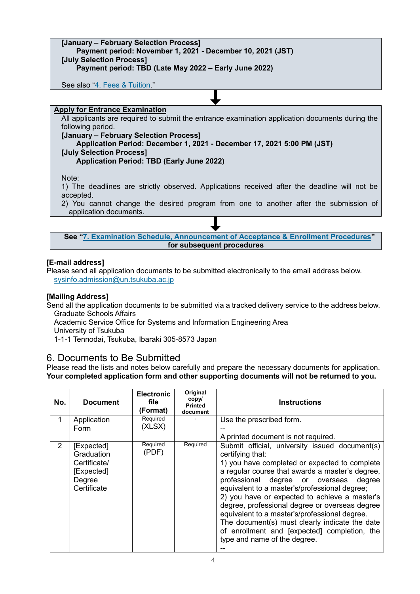# **[January – February Selection Process] Payment period: November 1, 2021 - December 10, 2021 (JST) [July Selection Process] Payment period: TBD (Late May 2022 – Early June 2022)**  See also ["4. Fees & Tuition.](#page-1-0)" **Apply for Entrance Examination** All applicants are required to submit the entrance examination application documents during the following period. **[January – February Selection Process] Application Period: December 1, 2021 - December 17, 2021 5:00 PM (JST) [July Selection Process] Application Period: TBD (Early June 2022)**  Note: 1) The deadlines are strictly observed. Applications received after the deadline will not be accepted. 2) You cannot change the desired program from one to another after the submission of application documents.

**See ["7. Examination Schedule, Announcement of Acceptance & Enrollment Procedures"](#page-5-0) for subsequent procedures**

### **[E-mail address]**

Please send all application documents to be submitted electronically to the email address below. [sysinfo.admission@un.tsukuba.ac.jp](mailto:sysinfo.admission@un.tsukuba.ac.jp)

### **[Mailing Address]**

Send all the application documents to be submitted via a tracked delivery service to the address below. Graduate Schools Affairs

Academic Service Office for Systems and Information Engineering Area

University of Tsukuba

1-1-1 Tennodai, Tsukuba, Ibaraki 305-8573 Japan

# <span id="page-3-0"></span>6. Documents to Be Submitted

Please read the lists and notes below carefully and prepare the necessary documents for application. **Your completed application form and other supporting documents will not be returned to you.**

| No.            | <b>Document</b>                                                                 | <b>Electronic</b><br>file<br>(Format) | Original<br>copy/<br><b>Printed</b><br>document | <b>Instructions</b>                                                                                                                                                                                                                                                                                                                                                                                                                                                                                                                                        |
|----------------|---------------------------------------------------------------------------------|---------------------------------------|-------------------------------------------------|------------------------------------------------------------------------------------------------------------------------------------------------------------------------------------------------------------------------------------------------------------------------------------------------------------------------------------------------------------------------------------------------------------------------------------------------------------------------------------------------------------------------------------------------------------|
| 1              | Application<br>Form                                                             | Required<br>(XLSX)                    |                                                 | Use the prescribed form.<br>A printed document is not required.                                                                                                                                                                                                                                                                                                                                                                                                                                                                                            |
| $\overline{2}$ | [Expected]<br>Graduation<br>Certificate/<br>[Expected]<br>Degree<br>Certificate | Required<br>(PDF)                     | Required                                        | Submit official, university issued document(s)<br>certifying that:<br>1) you have completed or expected to complete<br>a regular course that awards a master's degree,<br>professional degree or overseas<br>degree<br>equivalent to a master's/professional degree;<br>2) you have or expected to achieve a master's<br>degree, professional degree or overseas degree<br>equivalent to a master's/professional degree.<br>The document(s) must clearly indicate the date<br>of enrollment and [expected] completion, the<br>type and name of the degree. |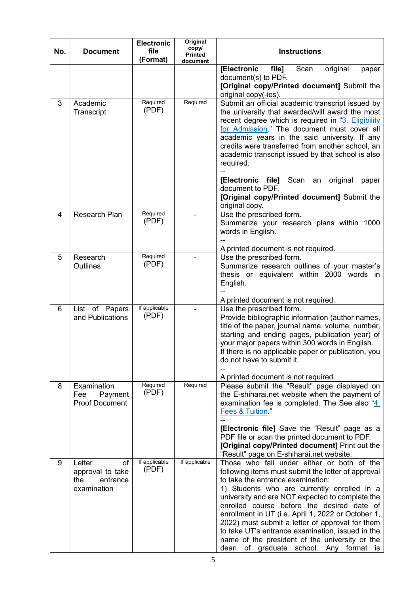| No. | <b>Document</b>                                                    | <b>Electronic</b><br>file<br>(Format) | Original<br>copy/<br><b>Printed</b><br>document | <b>Instructions</b>                                                                                                                                                                                                                                                                                                                                                                                                                                                                                                                            |
|-----|--------------------------------------------------------------------|---------------------------------------|-------------------------------------------------|------------------------------------------------------------------------------------------------------------------------------------------------------------------------------------------------------------------------------------------------------------------------------------------------------------------------------------------------------------------------------------------------------------------------------------------------------------------------------------------------------------------------------------------------|
|     |                                                                    |                                       |                                                 | [Electronic<br>file]<br>original<br>Scan<br>paper<br>document(s) to PDF.<br>[Original copy/Printed document] Submit the<br>original copy(-ies).                                                                                                                                                                                                                                                                                                                                                                                                |
| 3   | Academic<br>Transcript                                             | Required<br>(PDF)                     | Required                                        | Submit an official academic transcript issued by<br>the university that awarded/will award the most<br>recent degree which is required in "3. Eligibility<br>for Admission." The document must cover all<br>academic years in the said university. If any<br>credits were transferred from another school, an<br>academic transcript issued by that school is also<br>required.<br>[Electronic file] Scan an original<br>paper<br>document to PDF.<br>[Original copy/Printed document] Submit the<br>original copy.                            |
| 4   | Research Plan                                                      | Required<br>(PDF)                     |                                                 | Use the prescribed form.<br>Summarize your research plans within 1000<br>words in English.<br>A printed document is not required.                                                                                                                                                                                                                                                                                                                                                                                                              |
| 5   | Research<br>Outlines                                               | Required<br>(PDF)                     |                                                 | Use the prescribed form.<br>Summarize research outlines of your master's<br>thesis or equivalent within 2000 words in<br>English.<br>A printed document is not required.                                                                                                                                                                                                                                                                                                                                                                       |
| 6   | List of Papers<br>and Publications                                 | If applicable<br>(PDF)                |                                                 | Use the prescribed form.<br>Provide bibliographic information (author names,<br>title of the paper, journal name, volume, number,<br>starting and ending pages, publication year) of<br>your major papers within 300 words in English.<br>If there is no applicable paper or publication, you<br>do not have to submit it.<br>A printed document is not required.                                                                                                                                                                              |
| 8   | Examination<br>Payment<br>Fee<br><b>Proof Document</b>             | Required<br>(PDF)                     | Required                                        | Please submit the "Result" page displayed on<br>the E-shiharai.net website when the payment of<br>examination fee is completed. The See also "4.<br>Fees & Tuition."<br>[Electronic file] Save the "Result" page as a<br>PDF file or scan the printed document to PDF.<br>[Original copy/Printed document] Print out the<br>"Result" page on E-shiharai.net website.                                                                                                                                                                           |
| 9   | Letter<br>of<br>approval to take<br>the<br>entrance<br>examination | If applicable<br>(PDF)                | If applicable                                   | Those who fall under either or both of the<br>following items must submit the letter of approval<br>to take the entrance examination:<br>1) Students who are currently enrolled in a<br>university and are NOT expected to complete the<br>enrolled course before the desired date of<br>enrollment in UT (i.e. April 1, 2022 or October 1,<br>2022) must submit a letter of approval for them<br>to take UT's entrance examination, issued in the<br>name of the president of the university or the<br>dean of graduate school. Any format is |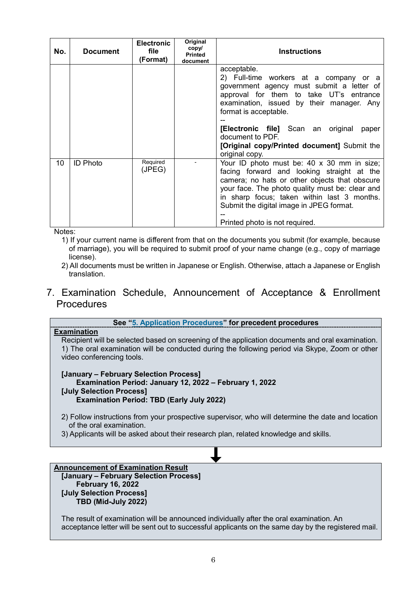| No. | <b>Document</b> | <b>Electronic</b><br>file<br>(Format) | Original<br>copy/<br><b>Printed</b><br>document | <b>Instructions</b>                                                                                                                                                                                                                                                                                                                         |
|-----|-----------------|---------------------------------------|-------------------------------------------------|---------------------------------------------------------------------------------------------------------------------------------------------------------------------------------------------------------------------------------------------------------------------------------------------------------------------------------------------|
|     |                 |                                       |                                                 | acceptable.<br>2) Full-time workers at a company or a<br>government agency must submit a letter of<br>approval for them to take UT's entrance<br>examination, issued by their manager. Any<br>format is acceptable.<br>[Electronic file] Scan an original<br>paper<br>document to PDF.<br>[Original copy/Printed document] Submit the       |
| 10  | <b>ID Photo</b> | Required<br>(JPEG)                    |                                                 | original copy.<br>Your ID photo must be: 40 x 30 mm in size;<br>facing forward and looking straight at the<br>camera; no hats or other objects that obscure<br>your face. The photo quality must be: clear and<br>in sharp focus; taken within last 3 months.<br>Submit the digital image in JPEG format.<br>Printed photo is not required. |

Notes:

- 1) If your current name is different from that on the documents you submit (for example, because of marriage), you will be required to submit proof of your name change (e.g., copy of marriage license).
- 2) All documents must be written in Japanese or English. Otherwise, attach a Japanese or English translation.

# <span id="page-5-0"></span>7. Examination Schedule, Announcement of Acceptance & Enrollment **Procedures**

### **See ["5. Application Procedures"](#page-2-0) for precedent procedures Examination** Recipient will be selected based on screening of the application documents and oral examination. 1) The oral examination will be conducted during the following period via Skype, Zoom or other video conferencing tools. **[January – February Selection Process] Examination Period: January 12, 2022 – February 1, 2022 [July Selection Process] Examination Period: TBD (Early July 2022)** 2) Follow instructions from your prospective supervisor, who will determine the date and location of the oral examination. 3) Applicants will be asked about their research plan, related knowledge and skills.

#### **Announcement of Examination Result [January – February Selection Process] February 16, 2022**

**[July Selection Process] TBD (Mid-July 2022)**

The result of examination will be announced individually after the oral examination. An acceptance letter will be sent out to successful applicants on the same day by the registered mail.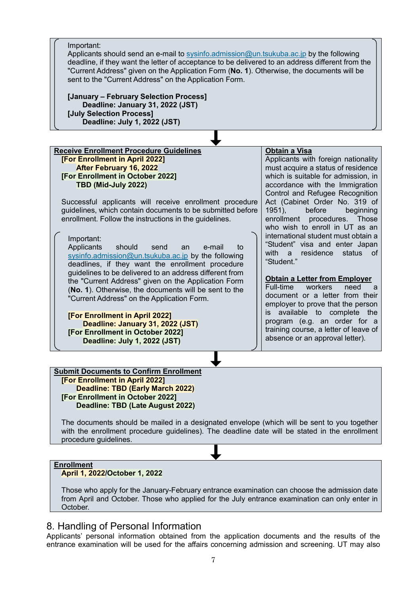**Receive Enrollment Procedure Guidelines [For Enrollment in April 2022] After February 16, 2022 [For Enrollment in October 2022] TBD (Mid-July 2022)** Successful applicants will receive enrollment procedure guidelines, which contain documents to be submitted before enrollment. Follow the instructions in the guidelines. **Obtain a Visa** Applicants with foreign nationality must acquire a status of residence which is suitable for admission, in accordance with the Immigration Control and Refugee Recognition Act (Cabinet Order No. 319 of 1951), before beginning<br>enrollment procedures. Those enrollment procedures. who wish to enroll in UT as an international student must obtain a "Student" visa and enter Japan with a residence status of "Student." **Obtain a Letter from Employer** Full-time workers need a document or a letter from their employer to prove that the person is available to complete the program (e.g. an order for a training course, a letter of leave of absence or an approval letter). **Submit Documents to Confirm Enrollment [For Enrollment in April 2022]** Important: Applicants should send an e-mail to [sysinfo.admission@un.tsukuba.ac.jp](mailto:sysinfo.admission@un.tsukuba.ac.jp) by the following deadline, if they want the letter of acceptance to be delivered to an address different from the "Current Address" given on the Application Form (**No. 1**). Otherwise, the documents will be sent to the "Current Address" on the Application Form. **[January – February Selection Process] Deadline: January 31, 2022 (JST) [July Selection Process] Deadline: July 1, 2022 (JST)** Important: Applicants should send an e-mail to [sysinfo.admission@un.tsukuba.ac.jp](mailto:sysinfo.admission@un.tsukuba.ac.jp) by the following deadlines, if they want the enrollment procedure guidelines to be delivered to an address different from the "Current Address" given on the Application Form (**No. 1**). Otherwise, the documents will be sent to the "Current Address" on the Application Form. **[For Enrollment in April 2022] Deadline: January 31, 2022 (JST) [For Enrollment in October 2022] Deadline: July 1, 2022 (JST)**

**Deadline: TBD (Early March 2022) [For Enrollment in October 2022] Deadline: TBD (Late August 2022)**

The documents should be mailed in a designated envelope (which will be sent to you together with the enrollment procedure guidelines). The deadline date will be stated in the enrollment procedure guidelines.

### **Enrollment**

#### **April 1, 2022/October 1, 2022**

Those who apply for the January-February entrance examination can choose the admission date from April and October. Those who applied for the July entrance examination can only enter in October.

# 8. Handling of Personal Information

Applicants' personal information obtained from the application documents and the results of the entrance examination will be used for the affairs concerning admission and screening. UT may also